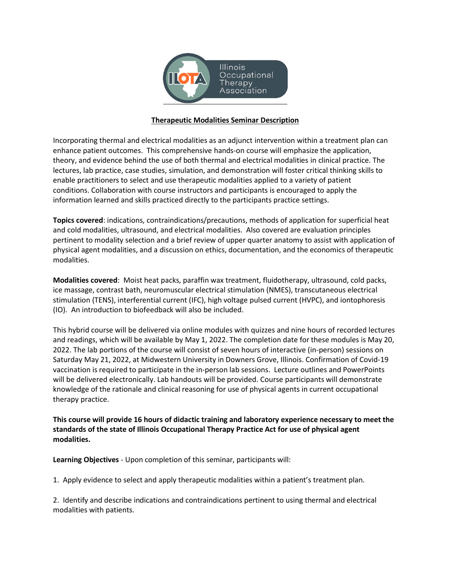

## **Therapeutic Modalities Seminar Description**

Incorporating thermal and electrical modalities as an adjunct intervention within a treatment plan can enhance patient outcomes. This comprehensive hands-on course will emphasize the application, theory, and evidence behind the use of both thermal and electrical modalities in clinical practice. The lectures, lab practice, case studies, simulation, and demonstration will foster critical thinking skills to enable practitioners to select and use therapeutic modalities applied to a variety of patient conditions. Collaboration with course instructors and participants is encouraged to apply the information learned and skills practiced directly to the participants practice settings.

**Topics covered**: indications, contraindications/precautions, methods of application for superficial heat and cold modalities, ultrasound, and electrical modalities. Also covered are evaluation principles pertinent to modality selection and a brief review of upper quarter anatomy to assist with application of physical agent modalities, and a discussion on ethics, documentation, and the economics of therapeutic modalities.

**Modalities covered**: Moist heat packs, paraffin wax treatment, fluidotherapy, ultrasound, cold packs, ice massage, contrast bath, neuromuscular electrical stimulation (NMES), transcutaneous electrical stimulation (TENS), interferential current (IFC), high voltage pulsed current (HVPC), and iontophoresis (IO). An introduction to biofeedback will also be included.

This hybrid course will be delivered via online modules with quizzes and nine hours of recorded lectures and readings, which will be available by May 1, 2022. The completion date for these modules is May 20, 2022. The lab portions of the course will consist of seven hours of interactive (in-person) sessions on Saturday May 21, 2022, at Midwestern University in Downers Grove, Illinois. Confirmation of Covid-19 vaccination is required to participate in the in-person lab sessions. Lecture outlines and PowerPoints will be delivered electronically. Lab handouts will be provided. Course participants will demonstrate knowledge of the rationale and clinical reasoning for use of physical agents in current occupational therapy practice.

**This course will provide 16 hours of didactic training and laboratory experience necessary to meet the standards of the state of Illinois Occupational Therapy Practice Act for use of physical agent modalities.**

**Learning Objectives** - Upon completion of this seminar, participants will:

1. Apply evidence to select and apply therapeutic modalities within a patient's treatment plan.

2. Identify and describe indications and contraindications pertinent to using thermal and electrical modalities with patients.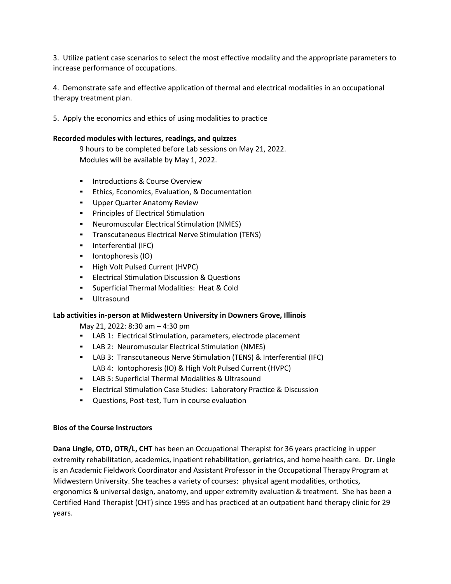3. Utilize patient case scenarios to select the most effective modality and the appropriate parameters to increase performance of occupations.

4. Demonstrate safe and effective application of thermal and electrical modalities in an occupational therapy treatment plan.

5. Apply the economics and ethics of using modalities to practice

## **Recorded modules with lectures, readings, and quizzes**

9 hours to be completed before Lab sessions on May 21, 2022. Modules will be available by May 1, 2022.

- **•** Introductions & Course Overview
- Ethics, Economics, Evaluation, & Documentation
- **Upper Quarter Anatomy Review**
- Principles of Electrical Stimulation
- Neuromuscular Electrical Stimulation (NMES)
- Transcutaneous Electrical Nerve Stimulation (TENS)
- Interferential (IFC)
- Iontophoresis (IO)
- High Volt Pulsed Current (HVPC)
- **Electrical Stimulation Discussion & Questions**
- Superficial Thermal Modalities: Heat & Cold
- Ultrasound

## **Lab activities in-person at Midwestern University in Downers Grove, Illinois**

May 21, 2022: 8:30 am – 4:30 pm

- LAB 1: Electrical Stimulation, parameters, electrode placement
- LAB 2: Neuromuscular Electrical Stimulation (NMES)
- LAB 3: Transcutaneous Nerve Stimulation (TENS) & Interferential (IFC) LAB 4: Iontophoresis (IO) & High Volt Pulsed Current (HVPC)
- LAB 5: Superficial Thermal Modalities & Ultrasound
- **Electrical Stimulation Case Studies: Laboratory Practice & Discussion**
- Questions, Post-test, Turn in course evaluation

## **Bios of the Course Instructors**

**Dana Lingle, OTD, OTR/L, CHT** has been an Occupational Therapist for 36 years practicing in upper extremity rehabilitation, academics, inpatient rehabilitation, geriatrics, and home health care. Dr. Lingle is an Academic Fieldwork Coordinator and Assistant Professor in the Occupational Therapy Program at Midwestern University. She teaches a variety of courses: physical agent modalities, orthotics, ergonomics & universal design, anatomy, and upper extremity evaluation & treatment. She has been a Certified Hand Therapist (CHT) since 1995 and has practiced at an outpatient hand therapy clinic for 29 years.